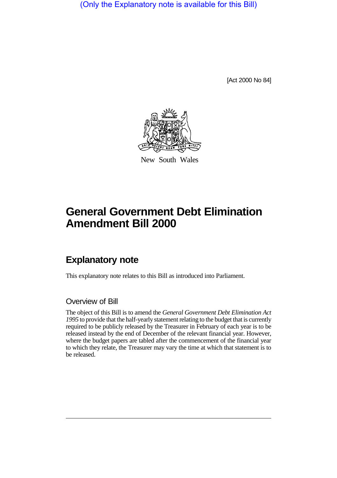(Only the Explanatory note is available for this Bill)

[Act 2000 No 84]



New South Wales

# **General Government Debt Elimination Amendment Bill 2000**

## **Explanatory note**

This explanatory note relates to this Bill as introduced into Parliament.

#### Overview of Bill

The object of this Bill is to amend the *General Government Debt Elimination Act 1995* to provide that the half-yearly statement relating to the budget that is currently required to be publicly released by the Treasurer in February of each year is to be released instead by the end of December of the relevant financial year. However, where the budget papers are tabled after the commencement of the financial year to which they relate, the Treasurer may vary the time at which that statement is to be released.